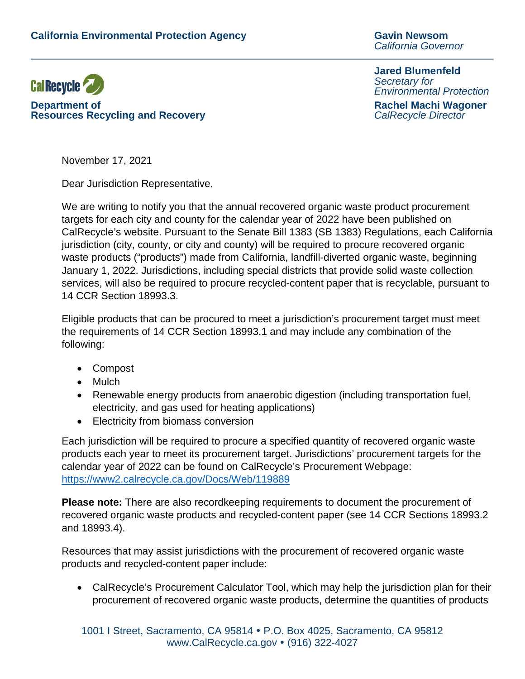*California Governor* 



**Department of Rachel Machi Wagoner Resources Recycling and Recovery** 

**Jared Blumenfeld** *Secretary for Environmental Protection*

November 17, 2021

Dear Jurisdiction Representative,

We are writing to notify you that the annual recovered organic waste product procurement targets for each city and county for the calendar year of 2022 have been published on CalRecycle's website. Pursuant to the Senate Bill 1383 (SB 1383) Regulations, each California jurisdiction (city, county, or city and county) will be required to procure recovered organic waste products ("products") made from California, landfill-diverted organic waste, beginning January 1, 2022. Jurisdictions, including special districts that provide solid waste collection services, will also be required to procure recycled-content paper that is recyclable, pursuant to 14 CCR Section 18993.3.

Eligible products that can be procured to meet a jurisdiction's procurement target must meet the requirements of 14 CCR Section 18993.1 and may include any combination of the following:

- Compost
- Mulch
- Renewable energy products from anaerobic digestion (including transportation fuel, electricity, and gas used for heating applications)
- Electricity from biomass conversion

Each jurisdiction will be required to procure a specified quantity of recovered organic waste products each year to meet its procurement target. Jurisdictions' procurement targets for the calendar year of 2022 can be found on CalRecycle's Procurement Webpage: <https://www2.calrecycle.ca.gov/Docs/Web/119889>

**Please note:** There are also recordkeeping requirements to document the procurement of recovered organic waste products and recycled-content paper (see 14 CCR Sections 18993.2 and 18993.4).

Resources that may assist jurisdictions with the procurement of recovered organic waste products and recycled-content paper include:

• CalRecycle's Procurement Calculator Tool, which may help the jurisdiction plan for their procurement of recovered organic waste products, determine the quantities of products